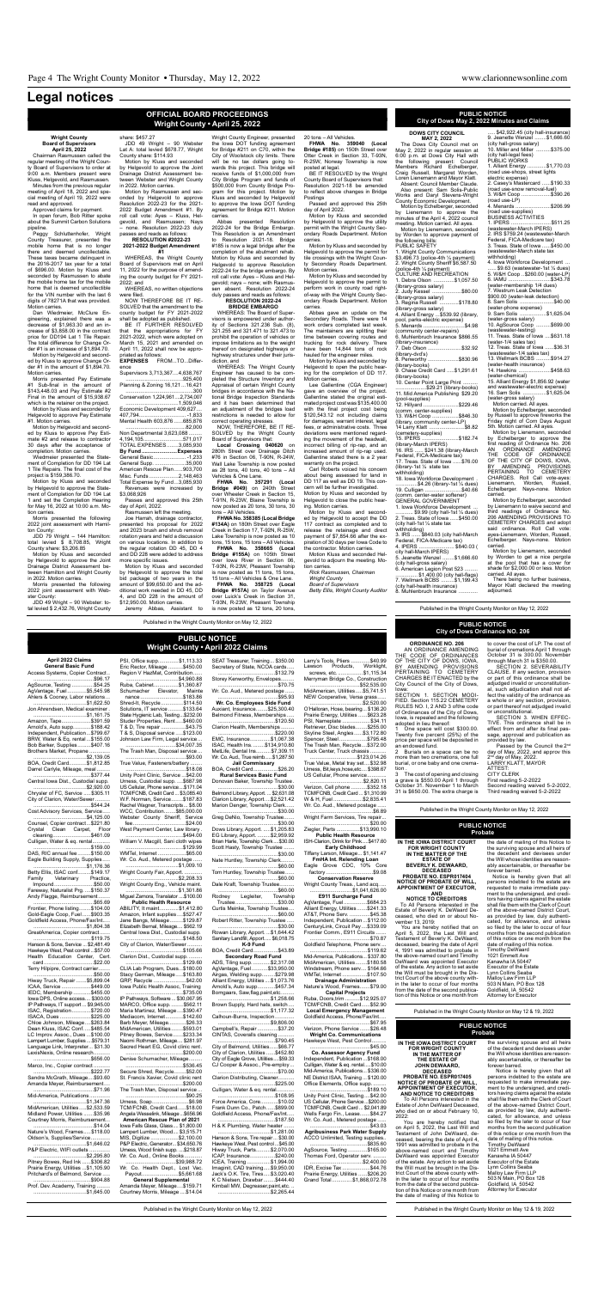## **Legal notices**

#### **DOWS CITY COUNCIL MAY 2, 2022** The Dows City Council met on May 2, 2022 in regular session at

6:00 p.m. at Dows City Hall with the following present: Council Members Richard Echelberger, Craig Russell, Margaret Worden, Loren Lienemann and Mayor Klatt. Absent: Council Member Claude. Also present: Sam Solis-Public Works and Daryl Stevens-Wright County Economic Development. Motion by Echelberger, seconded

by Lienemann to approve the minutes of the April 4, 2022 council meeting. Motion carried. All ayes. Motion by Lienemann, seconded

by Worden to approve payment of the following bills: PUBLIC SAFETY

1. Wright County Communications \$3,496.73 (police-4th ¼ payment) 2. Wright County Sheriff \$6,587.50 (police-4th ¼ payment) CULTURE AND RECREATION

1. Debra Olson ..............\$1,057.50 (library-gross salary) 2. Judy Kessel ....................\$80.00 (library-gross salary) 3. Regina Russell ............. \$178.80 (library-gross salary) 4. Alliant Energy ...\$539.92 (library, pool, parks-electric expense) 5. Menards ............................\$4.98 (community center-repairs) 6. Muhlenbruch Insurance \$866.55 (library-insurance) 7. Deb Olson .......................\$32.92 (library-dvd's) 8. Penworthy .....................\$830.96 (library-books)

1. Iowa Workforce Development  $\therefore$  \$9.99 (city hall-1st  $\frac{1}{4}$  dues) 2. Treas. State of Iowa ......\$450.00 (city hall-1st ¼ state tax

Federal, FICA-Medicale<br>4. IPERS<br>city hall-March IPERS) 5. Jeanette Wenzel ........\$1,666.60 (city hall-gross salary) 6. American Legion Post 523 .........

9. Chase Credit Card .....\$1,291.61 (library-books) 10. Center Point Large Print .......... .....................\$29.21 (library-books) 11. Mid America Publishing \$29.20 (pool-supplies) 12. Hillyard ........................\$229.46 (comm. center-supplies)

One space will cost \$300.00. Twenty five percent (25%) of the price per space will be deposited in an endowed fund.

Burials on a space can be no more than two cremations, one full burial, or one baby and one cremation .

13. W&H Coop ..................\$846.30 (library, community center-LP) 14 Larry Klatt ........................\$8.82 (cemetery-supplies) 15. IPERS .........................\$182.74

...<br>The cost of opening and closing a grave is \$550.00 April 1 through October 31. November 1 to March 31 is \$650.00. The extra charge is

(library-March IPERS)

16. IRS ...... \$241.38 (library-March Federal, FICA-Medicare tax) 17. Treas. State of Iowa ......\$76.00 (library-1st ¼ state tax

withholding) 18. Iowa Workforce Development . ...\$4.26 (library-1st ¼ dues)<br>igan .........................\$40.66 19. Culligan .........................\$40.66 (comm. center-water softener) GENERAL GOVERNMENT

withholding) 3. IRS ...... \$840.03 (city hall-March Federal, FICA-Medicare tax) 4. IPERS ........................ \$840.03 (

............... \$1,400.00 (city hall-flags) 7. Wellmark BCBS .........\$1,199.43 (city hall-health insurance) 8. Muhlenbruch Insurance .............

You are hereby notified that on April 5, 2022, the Last Will and Testament of John DeWaard, deceased, bearing the date of April 4, 1991 was admitted to probate in the above-named court and Timothy DeWaard was appointed Executor of the estate. Any action to set aside the Will must be brought in the District Court of the above county within the later to occur of four months from the date of the second publication of this Notice or one month from the date of mailing of this Notice to

**PUBLIC NOTICE City of Dows May 2, 2022 Minutes and Claims**

> Notice is hereby given that all persons indebted to the estate are requested to make immediate payment to the undersigned, and creditors having claims against the estate shall file them with the Clerk of Court of the above-named District Court, as provided by law, duly authenticated, for allowance, and unless so filed by the later to occur of four months from the second publication of this notice or one month from the date of mailing of this notice. Timothy DeWaard 1021 Emmett Ave Kanawha IA 50447 Executor of the Estate Lynn Collins Seaba Malloy Law Firm LLP 503 N Main, PO Box 128 Goldfield, IA 50542 Attorney for Executor

Published in the Wright County Monitor on May 12, 2022

**ORDINANCE NO. 206**  AN ORDINANCE AMENDING THE CODE OF ORDINANCES

OF THE CITY OF DOWS, IOWA, BY AMENDING PROVISIONS PERTAINING TO CEMETERY CHARGES BE IT ENACTED by the

City Council of the City of Dows, Iowa:

SECTION 1. SECTION MODI-FIED. Section 115.22 CEMETERY RULES NO. I, 2 AND 3 ofthe code of Ordinances of the City of Dows, Iowa, is repealed and the following adopted in lieu thereof:

### **PUBLIC NOTICE City of Dows Ordinance NO. 206**

Published in the Wright County Monitor on May 12, 2022

**IN THE IOWA DISTRICT COURT FOR WRIGHT COUNTY IN THE MATTER OF THE ESTATE OF BEVERLY K. DEWAARD, DECEASED PROBATE NO. ESPR017404 NOTICE OF PROBATE OF WILL, APPOINTMENT OF EXECUTOR, AND NOTICE TO CREDITORS** To All Persons interested in the Estate of Beverly K. DeWaard Deceased, who died on or about No-

vember 13, 2019:

You are hereby notified that on April 5, 2022, the Last Will and Testament of Beverly K. DeWaard, deceased, bearing the date of April 4, 1991 was admitted to probate in the above-named court and Timothy DeWaard was appointed Executor of the estate. Any action to set aside the Will must be brought in the Dis-trict Court of the above county within the later to occur of four months from the date of the second publication of this Notice or one month from

**IN THE IOWA DISTRICT COURT FOR WRIGHT COUNTY IN THE MATTER OF THE ESTATE OF JOHN DEWAARD,** 

### **DECEASED PROBATE NO. ESPR017405 NOTICE OF PROBATE OF WILL, APPOINTMENT OF EXECUTOR,**

**AND NOTICE TO CREDITORS** To All Persons interested in the Estate of John DeWaard Deceased, who died on or about February 10, 2022:

WHEREAS, the Wright County Board of Supervisors met on April 11, 2022 for the purpose of amending the county budget for FY 2021-  $2022$ ; and

> the date of mailing of this Notice to the surviving spouse and all heirs of the decedent and devisees under the Will whose identities are reasonably ascertainable, or thereafter be forever barred.

**PUBLIC NOTICE Probate**

Published in the Wright County Monitor on May 12 & 19, 2022

the surviving spouse and all heirs of the decedent and devisees under the Will whose identities are reasonably ascertainable, or thereafter be forever barred.

carries.<br>Abbas presented Resolution 2022-24 for the Bridge Embargo. This Resolution is an Amendment to Resolution 2021-18. Bridge #185 is now a legal bridge after the completion of the abutment rehab. Motion by Kluss and seconded by Helgevold to approve Resolution 2022-24 for the bridge embargo. By roll call vote: Ayes – Kluss and Helgevold; nays – none; with Rasmussen absent. Resolution 2022-24 duly passes and reads as follows:

> Notice is hereby given that all persons indebted to the estate are requested to make immediate payment to the undersigned, and creditors having claims against the estate shall file them with the Clerk of Court of the above-named District Court, as provided by law, duly authenti-cated, for allowance, and unless so filed by the later to occur of four months from the second publication of this notice or one month from the date of mailing of this notice. Timothy DeWaard 1021 Emmett Ave Kanawha IA 50447 Executor of the Estate Lynn Collins Seaba Malloy Law Firm LLP 503 N Main, PO Box 128 Goldfield, IA 50542 Attorney for Executor

#### **PUBLIC NOTICE Probate**

Published in the Wright County Monitor on May 12 & 19, 2022

**Wright County Board of Supervisors April 25, 2022**

> 15 tons – All Vehicles & One Lane.<br>FHWA No. 358725 (Loca **FHWA No. 358725 (Local Bridge #157A)** on Taylor Avenue over Luick's Creek in Section 31, T-93N, R-23W, Pleasant Township

Chairman Rasmussen called the regular meeting of the Wright County Board of Supervisors to order at 9:00 a.m. Members present were Kluss, Helgevold, and Rasmussen. Minutes from the previous regular

**Bridge #185)** on 150th Street over Otter Creek in Section 33, T-93N, R-25W, Norway Township is now posted at legal. BE IT RESOLVED by the Wright

meeting of April 18, 2022 and special meeting of April 19, 2022 were read and approved. Approved claims for payment.

> Motion by Kluss and seconded by Helgevold to approve the utility permit with the Wright County Secondary Roads Department. Motion carries

In open forum, Bob Ritter spoke about the Summit Carbon Solutions pipeline.

Peggy Schluttenhofer, Wright County Treasurer, presented the mobile home that is no longer there and deemed uncollectable. These taxes became delinquent in the 2016-2017 tax year for a total of \$696.00. Motion by Kluss and seconded by Rasmussen to abate the mobile home tax for the mobile home that is deemed uncollectible for the VIN number with the last 6 digits of 78271A that was provided. Motion carries.

Dan Wiedmeier, McClure Engineering, explained there was a decrease of \$1,963.30 and an increase of \$3,858.00 in the contract price for DD194 Lat 1 Tile Repair. The total difference for Change Order #1 is an increase of \$1,894.70.

Motion by Helgevold and seconded by Kluss to approve Change Order #1 in the amount of \$1,894.70. Motion carries.

Morris presented Pay Estimate Sub-final in the amount of \$143,448.03 and Pay Estimate #2 Final in the amount of \$15,938.67 which is the retainer on the project. Motion by Kluss and seconded by Helgevold to approve Pay Estimate

#1. Motion carries. Motion by Helgevold and seconded by Kluss to approve Pay Estimate #2 and release to contractor 30 days after the acceptance of completion. Motion carries.

Wiedmeier presented the Statement of Completion for DD 194 Lat 1 Tile Repairs. The final cost of the project is \$159,386.70.

Motion by Kluss and seconded by Helgevold to approve the Statement of Completion for DD 194 Lat 1 and set the Completion Hearing for May 16, 2022 at 10:00 a.m. Motion carries.

Morris presented the following 2022 joint assessment with Hamilton County:

JDD 79 Wright – 144 Hamilton: total levied \$ 8,708.85, Wright County share: \$3,206.85

Motion by Kluss and seconded by Helgevold to approve the Joint Drainage District Assessment between Hamilton and Wright County in 2022. Motion carries.

Morris presented the following 2022 joint assessment with Webster County:

JDD 49 Wright – 90 Webster: total levied \$ 2,432.76, Wright County share: \$457.27 JDD 49 Wright – 90 Webster Lat A: total levied \$678.77, Wright

County share: \$114.93 Motion by Kluss and seconded by Helgevold to approve the Joint Drainage District Assessment between Webster and Wright County in 2022. Motion carries.

Motion by Rasmussen and seconded by Helgevold to approve Resolution 2022-23 for the 2021- 2022 Budget Amendment #1. By roll call vote: Ayes – Kluss, Helgevold, and Rasmussen; Nays – none. Resolution 2022-23 duly passes and reads as follows:

#### **RESOLUTION #2022-23 2021-2022 Budget Amendment #1**

Prof. Dev. Academy, Training ......... ...\$1,645.00

WHEREAS, no written objections were filed.

NOW THEREFORE BE IT RE-SOLVED that the amendment to the county budget for FY 2021-2022 shall be adopted as published.

BE IT FURTHER RESOLVED that the appropriations for FY 2021-2022, which were adopted on March 15, 2021 and amended on April 11, 2022 shall now be appropriated as follows: **EXPENSES** FROM...TO...Difference Supervisors 3,713,367....4,638,767 .......................................925,400 Planning & Zoning 16,121 ...16,421 ..............................................300 Conservation 1,224,961....2,734,007 ....................................1,509,046 Economic Development 409,627. 407,794................................ -1,833 Mental Health 603,876 ......685,876 .........................................82,000 Non Departmental 3,623,088 .........

| 4,194,105571,017               |  |
|--------------------------------|--|
| TOTAL EXPENSES3,085,930        |  |
| By Fund Expenses               |  |
| General Basic - 1,233          |  |
| General Supp. 35,000           |  |
| American Rescue Plan903,700    |  |
| Misc. Funds 2,148,463          |  |
| Total Expense by Fund3,085,930 |  |

Revenues were increased by \$3,068,926

Passes and approved this 25th day of April, 2022.

Rasmussen left the meeting.

Joe Harrah, drainage contractor, presented his proposal for 2022 and 2023 brush and shrub removal rotation years and held a discussion on various locations. In addition to the regular rotation DD 45, DD 4 and DD 228 were added to address more specific issues.

Motion by Kluss and seconded by Helgevold to approve the total bid package of two years in the amount of \$99,650.00 and the additional work needed in DD 45, DD and DD 228 in the amount of \$12,950.00. Motion carries. Jeremy Abbas, Assistant to

on V HazMat, Contribution.. ..................................\$4,960.88<br>0. Cabinet..................\$1.360.87 ....\$1,360.87<br>or, Mainte macher Elevator, nce ...............................\$183.86 d-It, Recycle..............\$114.50 Solutions, IT service ..........\$133.64 Hygienic Lab, Testing...\$232.00 Studer Properties, Rent.....\$460.00 T & D, Tire repair .................\$43.75 8, Disposal service .....\$123.00 son Law Firm, Legal service. ..................................\$34,007.35 Trash Man, Disposal service . .........................................\$93.00 Value, Fasteners/battery ........<br>۲۹۹ ۹۹ ۹۹ .........................................\$18.08 Unity Point Clinic, Service ...\$42.00 ss, Custodial supp. ....\$687.98 US Cellular, Phone service....\$171.04 TCM/FCNB, Credit Card ... \$3,085.40 W.F. Norman, Service........\$187.83 el Wagner, Transcripts... \$8.00 WCC, Contribution........\$85,000.00 ster County Sheriff, Service<br>\$24.00..................\$ fee....................................\$24.00 West Payment Center, Law library . .......................................\$494.00 am V. Macgill, Sani cloth wipes .......................................\$129.99 WMTel, Internet ...................\$65.00 Co. Aud., Metered postage ...\$1,009.10 ht County Fair, Apport. . ...\$2.208.33 ht County Eng., Vehicle maint. ....................................\$1,301.86 el Zamora, Translator ....\$100.00 **Public Health Resource** ABILITY, It maint.............\$1,412.80 zon, Infant supplies ....\$527.47 Jane Bangs, Mileage.........\$129.87 Elizabeth Bernal, Mileage.... \$562.19 ral Iowa Dist., Custodial supp. ...\$148.50 City of Clarion, Water/Sewer .......... .......................................\$105.66 Clarion Dist., Custodial supp. ......... .......................................\$129.60 Lab Program, Dues...\$180.00 Stacy German, Mileage.....\$163.80 GRP, Recycle ......................\$42.00 Iowa Public Health Assoc, Training .......................................\$735.00 IP Pathways, Software ... \$30,067.95 CO, Office supp.........\$562.11 a Martinez, Mileage ....\$390.47 acom, Internet............\$142.60<br>Mever Mileage \$26.33 Meyer, Mileage....... merican, Utilities........\$593.01 y Bowes, Service.......\$233.34 ni Rothman, Mileage.... \$281.97 ed Heart EG, Covid clinic rent. .......................................\$200.00 se Schumacher, Mileage. .......................................\$536.45 Secure Shred, Recycle........\$52.00 rancis Xavier, Covid clinic rent .......................................\$200.00 Trash Man, Disposal service . .........................................\$90.25 Urness, Soap.........................\$6.98 FCNB, Credit Card......\$18.00 la Wesselink, Mileage...\$656.96 **American Rescue Plan of 2021** Falls Glass, Glass.... \$1,800.00 ert Lumber, Wood.... \$3,515.71 MIS, Digitize ...................\$2,100.00 P&P Electric, Generator... \$34,650.76 ss, Wood finish supp. ....\$218.87 Co. Aud., Online Books. ..................................\$39,988.72 Co. Health Dept., Lost Vac.<br>lyout........................\$5,661.68 Payout.........................\$5,661.68 **General Supplemental** Amanda Meyer, Mileage....\$159.71 Courtney Morris, Mileage ....\$14.04

PSI, Office supp..............\$1,113.33<br>Eric Rector, Mileage ..........\$450.00 Eric Rector, Mileage . SEAT Treasurer, Training... \$350.00

Published in the Wright County Monitor on May 12, 2022

Secretary of State, NCOA cards.

Larry's Tools, Pliers .............\$40.99<br>Lawson Products, Worklight, Lawson Products, Worklight<br>screws.etc.................\$1.115.34 screws, etc...

Storey Kenworthy, Envelope .........................................\$70.75 Wr. Co. Aud., Metered postage. .........................................\$95.93

Wright County Engineer, presented the Iowa DOT funding agreement for Bridge #211 on C70, within the City of Woolstock city limits. There will be no tax dollars going towards this project. This bridge will receive funds of \$1,000,000 from City Bridge Program and funds of \$500,000 from County Bridge Program for this project. Motion by Kluss and seconded by Helgevold to approve the Iowa DOT funding agreement for Bridge #211. Motion

Donovan Baker, Township Trustee. .........................................\$30.00 Belmond Library, Apport. ... \$2,631.08 Clarion Library, Apport....\$2,521.42 Marion Denger, Township Clerk. ..\$30.00

Greg DeNio, Township Trustee. ...\$30.00 Dows Library, Apport. .....\$1,205.83 EG Library, Apport. .........\$2,959.92 Brian Harle, Township Clerk....\$30.00

Scott Hasty, Township Trustee .........................................\$30.00 Nate Huntley, Township Clerk......... .........................................\$60.00 Tom Huntley, Township Trustee...... ....\$60.00 Dale Kraft, Township Trustee...

...............\$60.00<br>er, Township Rodney Legleiter,<br>Trustee......................  $...$ \$30.00 Curtis Meinke, Township Trustee.... .........................................\$60.00 Robert Ritter, Township Trustee ..... .........................................\$30.00

Sanitary Landfill, Apport..... \$6,018.75 **K-9 Fund** BOA, Credit Card.................\$43.89 **Secondary Road Fund** ADS, Tiling supp.............\$2,317.08 AgVantage, Fuel...........\$33,950.00 Airgas, Welding supp.........\$279.98 Alliant Energy, Utilities ....\$1,073.76 Arnold's, Auto supp............\$457.34 Bomgaars, Saw,flag,paint,etc......... ....................................\$1,258.66 Brown Supply, Hard hats, switch. .....\$1,177.32 Calhoun-Burns, Inspection. ....................................\$9,806.00 Campbell's, Repair ..............\$37.20 CINTAS, Coveralls cleaning ... .......................................\$790.45 City of Belmond, Utilities......\$66.77 City of Clarion, Utilities ......\$452.80 City of Eagle Grove, Utilities....\$59.33 CJ Cooper & Assoc., Pre-employ... .........................................\$70.00 Clarion Distributing, Cleaner. ....\$225.00 Culligan, Water & eq. rental. ......\$108.95 Force America, Core............\$10.02 Frank Dunn Co., Patch......\$899.00 Goldfield Access, Phone/Fax/Int... ....\$187.50

#### **RESOLUTION 2022-24 BRIDGE EMBARGO**

WHEREAS: The Board of Supervisors is empowered under authority of Sections 321.236 Sub. (8), 321.255 and 321.471 to 321.473 to prohibit the operation of vehicles or impose limitations as to the weight thereof on designated highways or highway structures under their jurisdiction, and

WHEREAS: The Wright County Engineer has caused to be completed the Structure Inventory and Appraisal of certain Wright County bridges in accordance with the National Bridge Inspection Standards and it has been determined that an adjustment of the bridges load restrictions is needed to allow for correct operating stresses.

H & K Plumbing, Water heater ....... ....................................\$1,281.00 Hanson & Sons, Tire repair... \$30.00 Hawkeye West, Pest control ...\$45.00 Hiway Truck, Parts..........\$2,070.00 ICAP, Insurance..................\$240.00<br>ICEA, Training ................\$1,994.00 ICEA, Training ............. Imaginit, CAD training.....\$9,950.00 Jack's O.K. Tire, Tires.....\$3,020.40 K C Nielsen, Drawbar........\$444.40 Kimball MW, Degreaser,paint,etc. ...\$2,265.44

NOW, THEREFORE, BE IT RE-SOLVED by the Wright County Board of Supervisors that:

**Local Crossing 040620** on 280th Street over Drainage Ditch #76 in Section 06, T-90N, R-24W, Wall Lake Township is now posted as 28 tons, 40 tons, 40 tons  $-$  All Vehicles & One Lane.

> ..................................\$52,535.00 MidAmerican, Utilities.....\$5,741.51 NEW Cooperative, Versa grass.

....................................\$2,520.00 O'Halloran, Hose, bearing... \$136.20 Prairie Energy, Utilities ......\$623.28 PSI, Nameplate ...................\$34.11 Retriever, Disc blades........\$255.00 Skyline Steel, Angles......\$3,172.80 Spencer, Steel ...................\$795.48 The Trash Man, Recycle....\$372.00 Truck Center, Truck chassis.

**FHWA No. 357291 (Local Bridge #049)** on 240th Street over Wheeler Creek in Section 15, T-91N, R-23W, Blaine Township is now posted as 20 tons, 30 tons, 30 tons – All Vehicles.

**FHWA No. 358385 (Local Bridge #134A)** on 180th Street over Eagle Creek in Section 17, T-92N, R-25W, Lake Township is now posted as 10 tons, 15 tons, 15 tons – All Vehicles.

**FHWA No. 358665 (Local Bridge #155A)** on 105th Street over Iowa River in Section 06, T-93N, R-23W, Pleasant Township is now posted as 11 tons, 15 tons,

> factory ................................\$9.08 **Conservation Reserve** Wright County Treas., Land acq.

is now posted as 12 tons, 20 tons,

20 tons – All Vehicles. **FHWA No. 359040 (Local** 

Frontier Comm., E911 Circuits .........................................\$70.87 Goldfield Telephone, Phone serv.. .......................................\$119.62 Mid-America, Publications... \$337.80

County Board of Supervisors that: Resolution 2021-18 be amended to reflect above changes in Bridge

Postings Passed and approved this 25th day of April 2022.

Hawkeye West, Pest Control.  $...$ \$45.00 **Co. Assessor Agency Fund** Independent, Publication...\$168.00 Culligan, Water & eq. rental.....\$10.00 Mid-America, Publications... \$336.00 NE District ISAA, Training ... \$120.00

Motion by Kluss and seconded by Helgevold to approve the permit for tile crossings with the Wright County Secondary Roads Department. Motion carries.

Motion by Kluss and seconded by Helgevold to approve the permit to perform work in county road rightof-way with the Wright County Secondary Roads Department. Motion carries.

9. Jeanette Wenzel (city hall-gross salary)

Abbas gave an update on the Secondary Roads. There were 14 work orders completed last week. The maintainers are splitting their time between covering routes and trucking for rock delivery. There have been 14,844 tons of rock hauled for the engineer miles.

Motion by Kluss and seconded by Helgevold to open the public hearing for the completion of DD 117. Motion carries.

Lee Gallentine (CGA Engineer) gave an overview of the project. Gallentine stated the original estimated project cost was \$135,400.00 with the final project cost being \$120,543.12 not including claims for damages, warrant interest, legal fees, or administrative costs. Three deviations were mentioned regarding the movement of the headwall, incorrect billing of rip-rap, and an increased amount of rip-rap used. Gallentine stated there is a 2 year warranty on the project.

Carl Roberts voiced his concern about being assessed for land in DD 117 as well as DD 19. This concern will be further investigated.

Motion by Kluss and seconded by Helgevold to close the public hearing. Motion carries.

by Echelberger to approve the<br>first reading of Ordinance No. 206<br>AN ORDINANCE AMENDING<br>THE CODE OF ORDINANCE<br>OF THE CITY OF DOWS, IOWA, BY AMENDING PROVISIONS PERTAINING TO CEMETERY CHARGES. Roll Call vote-ayes: Lienemann, Worden, Russell, Echelberger. Nays-none. Motion carried.

Motion by Kluss and seconded by Helgevold to accept the DD 117 contract as completed and to release the retainage and direct payment of \$7,854.66 after the expiration of 30 days per Iowa Code to the contractor. Motion carries.

> to cover the cost of LP. The cost of burial of cremations April 1 through October 31 is 300.00. November through March 31 is \$350.00. SECTION 2. SEVERABILITY

Motion Kluss and seconded Helgevold to adjourn the meeting. Motion carries.

> CLAUSE. If any section, provision part of this ordinance shall be

*Rick Rasmussen, Chairman Wright County* 

> adjudged invalid or unconstitutional, such adjudication shall not affect the validity of the ordinance as a whole or any section, provision, or part thereof not adjudged invalid or unconstitutional. SECTION 3. WHEN EFFEC-

*Board of Supervisors Betty Ellis, Wright County Auditor*

**OFFICIAL BOARD PROCEEDINGS Wright County • April 25, 2022**

**April 2022 Claims General Basic Fund**

> day of May, 2022, and approv this<br>2™ day of May, 2022.<br>LARRY KLATT, MAYOR ATTEST: CITY CLERK First reading 5-2-2022

| Access Systems, Copier Contract…                                        | Regi                |
|-------------------------------------------------------------------------|---------------------|
|                                                                         | <br>Ruba            |
| AgVantage, Fuel\$5,545.98                                               | Schu                |
| Ahlers & Cooney, Labor relations                                        | na                  |
| \$1,622.50<br>Jon Ahrendsen, Medical examiner.                          | Shre                |
| \$1,161.75                                                              | Solut<br>State      |
|                                                                         | Stud                |
| Amazon, Tape\$391.59<br>Arnold's, Auto supp\$188.42                     | T & I               |
| Independent, Publication\$799.67                                        | T & S               |
| BRW, Water & Eq. rental  \$155.00                                       | John                |
| Bob Barker, Supplies\$407.16<br>Brothers Market, Propane                | <br>"The            |
| \$2,139.05                                                              |                     |
| BOA, Credit Card\$1,812.85                                              | True                |
| Darrel Carlyle, Mileage, meal                                           |                     |
| Central lowa Dist., Custodial supp.                                     | Unity<br>Urne       |
|                                                                         | US C                |
|                                                                         | TCM.                |
| City of Clarion, Water/Sewer                                            | W.F.                |
| Cost Advisory Services, Service                                         | Rach<br>wcc         |
| \$4,125.00                                                              | Web:                |
| Counsel, Copier contract \$221.80                                       | fee                 |
| Crystal Clean Carpet, Floor<br>cleaning\$461.09                         | West                |
| Culligan, Water & eq. rental                                            | <br>Willia          |
|                                                                         |                     |
| DAS, RIC annual fee \$150.00                                            | WM <sub>1</sub>     |
| Eagle Building Supply, Supplies                                         | Wr. C               |
| \$1,176.36<br>Betty Ellis, ISAC conf\$149.17                            | <br>Wrig            |
|                                                                         |                     |
| Family Veterinary Practice,<br>Impound\$50.00                           | Wrig                |
| Fareway, Naturalist Prg. \$150.37                                       |                     |
| Andy Flagge, Reimbursement                                              | Migu                |
| Frontier, Phone listing\$104.00                                         | ABIL                |
| Gold-Eagle Coop, Fuel\$903.35                                           | Ama:                |
| Goldfield Access, Phone/Fax/Int                                         | Jane<br>Eliza       |
| \$1,804.38<br>GreatAmerica, Copier contract                             | Cent                |
|                                                                         |                     |
| Hanson & Sons, Service  \$2,481.49                                      | ا City              |
| Hawkeye West, Pest control \$57.00                                      | <br>Clari           |
| Health Education Center, Cert.<br>card\$22.00                           |                     |
| Terry Hilpipre, Contract carrier                                        | <b>CLIA</b><br>Stac |
| Hiway Truck, Repair  \$5,899.04                                         | GRP                 |
| ICAA, Service \$449.00                                                  | lowa                |
| IEDC, Membership \$455.00                                               |                     |
| lowa DPS, Online access \$300.00<br>IP Pathways, IT support  \$9,945.00 | IP Pa<br><b>MAR</b> |
| ISAC, Registration\$720.00                                              | Maria               |
| ISACA, Dues \$225.00                                                    | Medi                |
| Chloe Johnson, Mileage\$263.84                                          | Barb                |
| Dean Kluss, ISAC Conf. \$485.54<br>LC Improv. Assoc., Dues \$100.00     | MidA<br>Pitne       |
| Lampert Lumber, Supplies \$579.31                                       | Naor                |
| Language Link, Interpreter \$31.30                                      | Sacr                |
| LexisNexis, Online research                                             | <br>Deni            |
| Marco, Inc., Copier contract                                            | .                   |
|                                                                         | Secu                |
| Sandra McGrath, Mileage\$93.60<br>Amanda Meyer, Reimbursement           | St. F               |
|                                                                         | <br>"The            |
|                                                                         |                     |
| Mid-America, Publications                                               |                     |
| \$1,347.36                                                              | Urne                |
| MidAmerican, Utilities\$2,533.59                                        | тсм                 |
| Midland Power, Utilities  \$35.96<br>Courtney Morris, Reimbursement     | Ange<br>Am          |
|                                                                         | lowa                |
| Nature's Wood, Frames\$118.00                                           | Lamp                |
| Oldson's, Supplies/Service                                              | MIS,                |
| \$1,646.02<br>P&P Electric, WIFI outlets                                | P&P<br>Urne         |
| \$2,295.80                                                              | Wr. C               |
| Pitney Bowes, Red Ink \$306.82                                          | .                   |
| Prairie Energy, Utilities \$1,105.90<br>Pritchard's of Belmond, Service | Wr.<br>Pa           |

**Wr. Co. Employees Side Fund** Auxiant, Insurance........\$25,300.40 Belmond Fitness, Memberships ..... .......................................\$120.50

Clarion Health, Memberships ......... .......................................\$220.00 EMC, Insurance..............\$1,067.38 ISAC, Health Ins.........\$134,910.80 MetLife, Dental Ins..........\$7,309.11 Wr. Co. Aud., True reimb......\$1,287.50 **Jail Commissary**<br>redit Card \$26.20 BOA, Credit Card....... **Rural Services Basic Fund**

Rowan Library, Apport. ...\$1,644.42

Published in the Wright County Monitor on May 12, 2022

................................\$123,014.26 True Value, Metal tray set....\$32.98 Urness, Bit,keys,hose,etc.... \$398.67 US Cellular, Phone service.............

....................................\$2,820.11 Verizon, Cell phone ...........\$352.18 TCM/FCNB, Credit Card ... \$1,310.99 W & H, Fuel ....................\$2,835.41

Wr. Co. Aud., Metered postage ...... ...........................................\$6.89 Wright Farm Services, Tire repair...

.........................................\$20.00

Ziegler, Parts ................\$13,990.10 **Public Health Resource** ISH-Clarion, Drink for Pink.....\$417.60

**Early Childhood** Tiffany Larson, Mileage... \$1,141.47

**FmHA Int. Relending Loan** Eagle Grove CDC, 10% Core

.............................\$1,041,626.00 **E911 Surcharge Fund** AgVantage, Fuel................\$684.23 Alliant Energy, Utilities .......\$241.33 AT&T, Phone Serv. ..............\$45.38 Independent, Publication...\$112.00 CenturyLink, Circuit Pay....\$339.09

MidAmerican, Utilities........\$180.58 Windstream, Phone serv.... \$164.66 WMTel, Internet .................\$107.50 **Drainage Administration** Nature's Wood, Frames.......\$79.00 **Capital Projects**

Ruba, Doors,trim ..........\$12,925.07 TCM/FCNB, Credit Card......\$52.90 **Local Emergency Management** Goldfield Access, Phone/Fax/Int... .........................................\$67.95 Verizon, Phone Service .......\$26.48 **Wright Co. Communications**

.......................................\$189.10 Unity Point Clinic, Testing....\$42.00 US Cellular, Phone Service...\$200.00 TCM/FCNB, Credit Card ... \$2,041.89 Wells Fargo Fin., Lease.......\$84.27 Wr. Co. Aud., Metered postage ......

.........................................\$43.03

**Agribusiness Park Water Supply** ACCO Unlimited, Testing supplies..

.......................................\$835.60

AgSource, Testing .............\$165.00 Thomas Ford, Operator serv. .........

....................................\$2,400.00

IDR, Excise Tax ...................\$44.76 Prairie Energy, Utilities ......\$206.20 Grand Total..............\$1,868,072.78

Office Elements, Office supp...

**PUBLIC NOTICE Wright County • April 2022 Claims** 10. Miller and Miller ..........\$375.00

(city hall-legal fees)

PUBLIC WORKS 1. Alliant Energy .............\$1,770.03 (road use-shops, street lights electric expense) 2. Casey's Mastercard ......\$190.33 (road use-snow removal-fuel)<br>3. W&H Coop ..................\$390.26 . W&H Coop . Menards .......................\$206.99 (water-phone expense)

. \$42,922.45 (city hall-insurance)<br>Jeanette Wenzel ........\$1,666.60

..\$132.79

erryman Bridge Co., C

Motion by Echelberger, seconded by Russell to approve fireworks the Friday night of Corn Days August 5th. Motion carried. All ayes. Motion by Lienemann, seconded

Motion by Echelberger, seconded by Lienemann to waive second and third readings of Ordinance No. 206 AMENDING PROVISIONS TO CEMETERY CHARGES and adopt said ordinance. Roll Call vote ayes-Lienemann, Worden, Russell, Echelberger. Nays-none. Motion carried.

Motion by Lienemann, seconded by Worden to get a nice pergola at the pool that has a cover for shade for \$2,000.00 or less. Motion carried. All ayes.

There being no further business, Mayor Klatt declared the meeting adjourned.

TIVE. This ordinance shall be in effect from and after its final passage, approval and publication as provided by law. Passed by the Council the 2nd

Second reading waived 5-2-2022, Third reading waived 5-2-2022